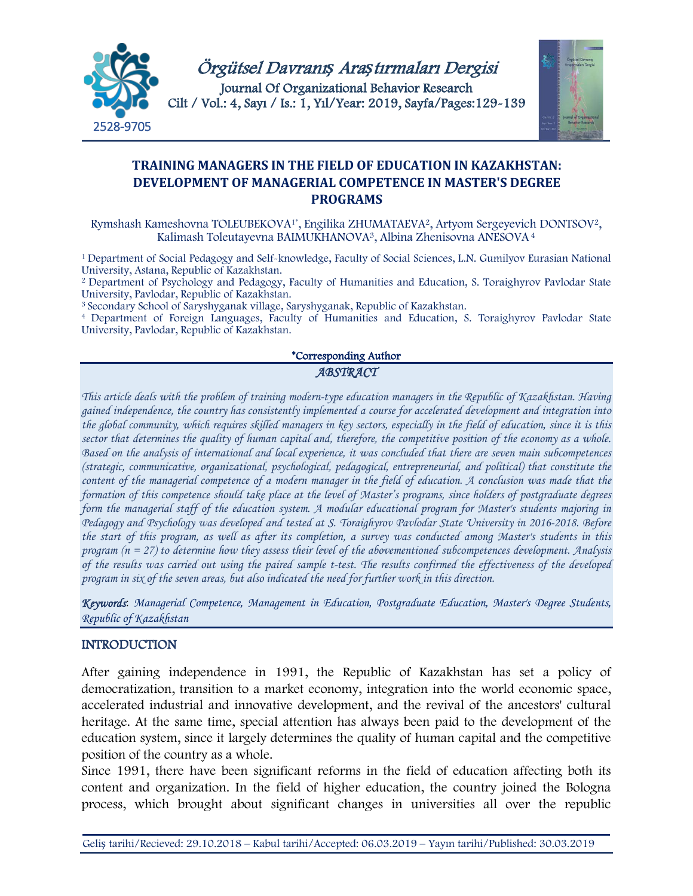

Örgütsel Davranı*ş* Ara*ş*tırmaları Dergisi Journal Of Organizational Behavior Research Cilt / Vol.: 4, Sayı / Is.: 1, Yıl/Year: 2019, Sayfa/Pages:129-139



# **TRAINING MANAGERS IN THE FIELD OF EDUCATION IN KAZAKHSTAN: DEVELOPMENT OF MANAGERIAL COMPETENCE IN MASTER'S DEGREE PROGRAMS**

Rymshash Kameshovna TOLEUBEKOVA1\*, Engilika ZHUMATAEVA2, Artyom Sergeyevich DONTSOV2, Kalimash Toleutayevna BAIMUKHANOVA<sup>3</sup>, Albina Zhenisovna ANESOVA<sup>4</sup>

1 Department of Social Pedagogy and Self-knowledge, Faculty of Social Sciences, L.N. Gumilyov Eurasian National University, Astana, Republic of Kazakhstan.

2 Department of Psychology and Pedagogy, Faculty of Humanities and Education, S. Toraighyrov Pavlodar State University, Pavlodar, Republic of Kazakhstan.

<sup>3</sup> Secondary School of Saryshyganak village, Saryshyganak, Republic of Kazakhstan.

<sup>4</sup> Department of Foreign Languages, Faculty of Humanities and Education, S. Toraighyrov Pavlodar State University, Pavlodar, Republic of Kazakhstan.

#### \*Corresponding Author *ABSTRACT*

*This article deals with the problem of training modern-type education managers in the Republic of Kazakhstan. Having gained independence, the country has consistently implemented a course for accelerated development and integration into the global community, which requires skilled managers in key sectors, especially in the field of education, since it is this sector that determines the quality of human capital and, therefore, the competitive position of the economy as a whole. Based on the analysis of international and local experience, it was concluded that there are seven main subcompetences (strategic, communicative, organizational, psychological, pedagogical, entrepreneurial, and political) that constitute the content of the managerial competence of a modern manager in the field of education. A conclusion was made that the formation of this competence should take place at the level of Master's programs, since holders of postgraduate degrees form the managerial staff of the education system. A modular educational program for Master's students majoring in Pedagogy and Psychology was developed and tested at S. Toraighyrov Pavlodar State University in 2016-2018. Before the start of this program, as well as after its completion, a survey was conducted among Master's students in this program (n = 27) to determine how they assess their level of the abovementioned subcompetences development. Analysis of the results was carried out using the paired sample t-test. The results confirmed the effectiveness of the developed program in six of the seven areas, but also indicated the need for further work in this direction.*

*Keywords*: *Managerial Competence, Management in Education, Postgraduate Education, Master's Degree Students, Republic of Kazakhstan*

## INTRODUCTION

After gaining independence in 1991, the Republic of Kazakhstan has set a policy of democratization, transition to a market economy, integration into the world economic space, accelerated industrial and innovative development, and the revival of the ancestors' cultural heritage. At the same time, special attention has always been paid to the development of the education system, since it largely determines the quality of human capital and the competitive position of the country as a whole.

Since 1991, there have been significant reforms in the field of education affecting both its content and organization. In the field of higher education, the country joined the Bologna process, which brought about significant changes in universities all over the republic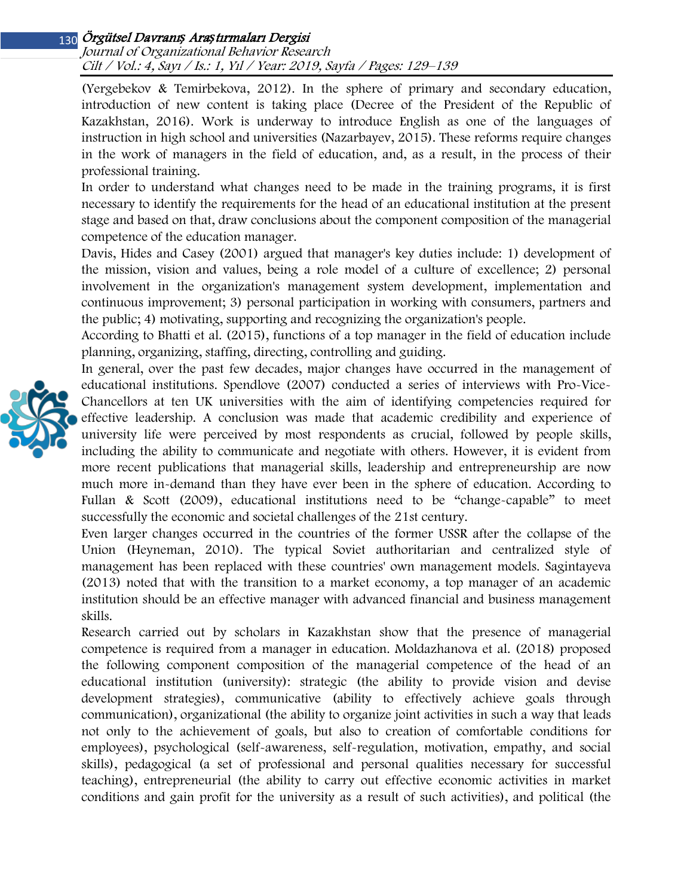Journal of Organizational Behavior Research Cilt / Vol.: 4, Sayı / Is.: 1, Yıl / Year: 2019, Sayfa / Pages: 129–139

(Yergebekov & Temirbekova, 2012). In the sphere of primary and secondary education, introduction of new content is taking place (Decree of the President of the Republic of Kazakhstan, 2016). Work is underway to introduce English as one of the languages of instruction in high school and universities (Nazarbayev, 2015). These reforms require changes in the work of managers in the field of education, and, as a result, in the process of their professional training.

In order to understand what changes need to be made in the training programs, it is first necessary to identify the requirements for the head of an educational institution at the present stage and based on that, draw conclusions about the component composition of the managerial competence of the education manager.

Davis, Hides and Casey (2001) argued that manager's key duties include: 1) development of the mission, vision and values, being a role model of a culture of excellence; 2) personal involvement in the organization's management system development, implementation and continuous improvement; 3) personal participation in working with consumers, partners and the public; 4) motivating, supporting and recognizing the organization's people.

According to Bhatti et al. (2015), functions of a top manager in the field of education include planning, organizing, staffing, directing, controlling and guiding.

In general, over the past few decades, major changes have occurred in the management of educational institutions. Spendlove (2007) conducted a series of interviews with Pro-Vice-Chancellors at ten UK universities with the aim of identifying competencies required for effective leadership. A conclusion was made that academic credibility and experience of university life were perceived by most respondents as crucial, followed by people skills, including the ability to communicate and negotiate with others. However, it is evident from more recent publications that managerial skills, leadership and entrepreneurship are now much more in-demand than they have ever been in the sphere of education. According to Fullan & Scott (2009), educational institutions need to be "change-capable" to meet successfully the economic and societal challenges of the 21st century.

Even larger changes occurred in the countries of the former USSR after the collapse of the Union (Heyneman, 2010). The typical Soviet authoritarian and centralized style of management has been replaced with these countries' own management models. Sagintayeva (2013) noted that with the transition to a market economy, a top manager of an academic institution should be an effective manager with advanced financial and business management skills.

Research carried out by scholars in Kazakhstan show that the presence of managerial competence is required from a manager in education. Moldazhanova et al. (2018) proposed the following component composition of the managerial competence of the head of an educational institution (university): strategic (the ability to provide vision and devise development strategies), communicative (ability to effectively achieve goals through communication), organizational (the ability to organize joint activities in such a way that leads not only to the achievement of goals, but also to creation of comfortable conditions for employees), psychological (self-awareness, self-regulation, motivation, empathy, and social skills), pedagogical (a set of professional and personal qualities necessary for successful teaching), entrepreneurial (the ability to carry out effective economic activities in market conditions and gain profit for the university as a result of such activities), and political (the

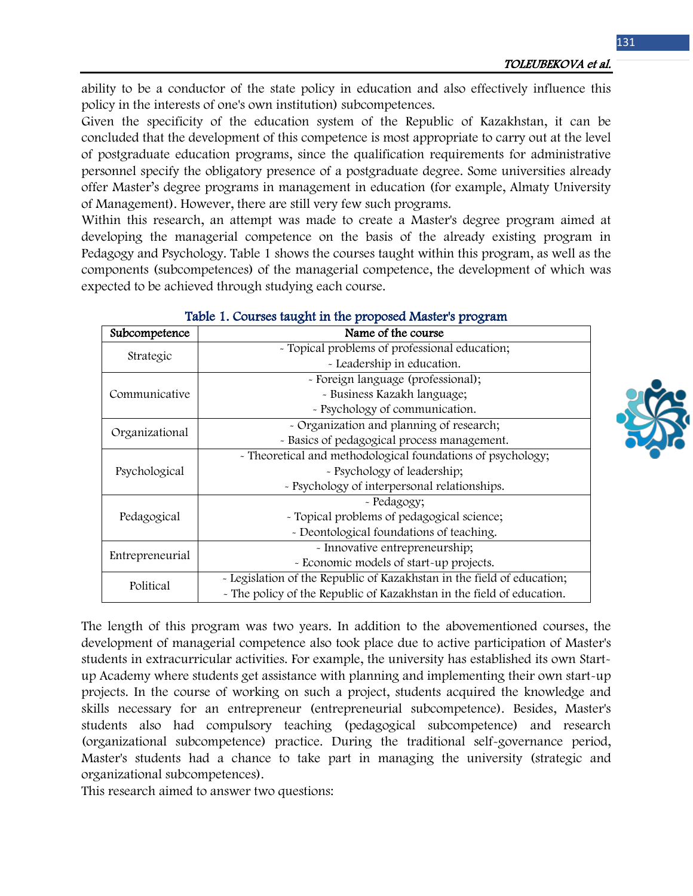ability to be a conductor of the state policy in education and also effectively influence this policy in the interests of one's own institution) subcompetences.

Given the specificity of the education system of the Republic of Kazakhstan, it can be concluded that the development of this competence is most appropriate to carry out at the level of postgraduate education programs, since the qualification requirements for administrative personnel specify the obligatory presence of a postgraduate degree. Some universities already offer Master's degree programs in management in education (for example, Almaty University of Management). However, there are still very few such programs.

Within this research, an attempt was made to create a Master's degree program aimed at developing the managerial competence on the basis of the already existing program in Pedagogy and Psychology. Table 1 shows the courses taught within this program, as well as the components (subcompetences) of the managerial competence, the development of which was expected to be achieved through studying each course.

| Subcompetence   | Name of the course                                                     |  |  |
|-----------------|------------------------------------------------------------------------|--|--|
| Strategic       | - Topical problems of professional education;                          |  |  |
|                 | - Leadership in education.                                             |  |  |
| Communicative   | - Foreign language (professional);                                     |  |  |
|                 | - Business Kazakh language;                                            |  |  |
|                 | - Psychology of communication.                                         |  |  |
| Organizational  | - Organization and planning of research;                               |  |  |
|                 | - Basics of pedagogical process management.                            |  |  |
| Psychological   | - Theoretical and methodological foundations of psychology;            |  |  |
|                 | - Psychology of leadership;                                            |  |  |
|                 | - Psychology of interpersonal relationships.                           |  |  |
| Pedagogical     | - Pedagogy;                                                            |  |  |
|                 | - Topical problems of pedagogical science;                             |  |  |
|                 | - Deontological foundations of teaching.                               |  |  |
| Entrepreneurial | - Innovative entrepreneurship;                                         |  |  |
|                 | - Economic models of start-up projects.                                |  |  |
| Political       | - Legislation of the Republic of Kazakhstan in the field of education; |  |  |
|                 | - The policy of the Republic of Kazakhstan in the field of education.  |  |  |

### Table 1. Courses taught in the proposed Master's program

The length of this program was two years. In addition to the abovementioned courses, the development of managerial competence also took place due to active participation of Master's students in extracurricular activities. For example, the university has established its own Startup Academy where students get assistance with planning and implementing their own start-up projects. In the course of working on such a project, students acquired the knowledge and skills necessary for an entrepreneur (entrepreneurial subcompetence). Besides, Master's students also had compulsory teaching (pedagogical subcompetence) and research (organizational subcompetence) practice. During the traditional self-governance period, Master's students had a chance to take part in managing the university (strategic and organizational subcompetences).

This research aimed to answer two questions:

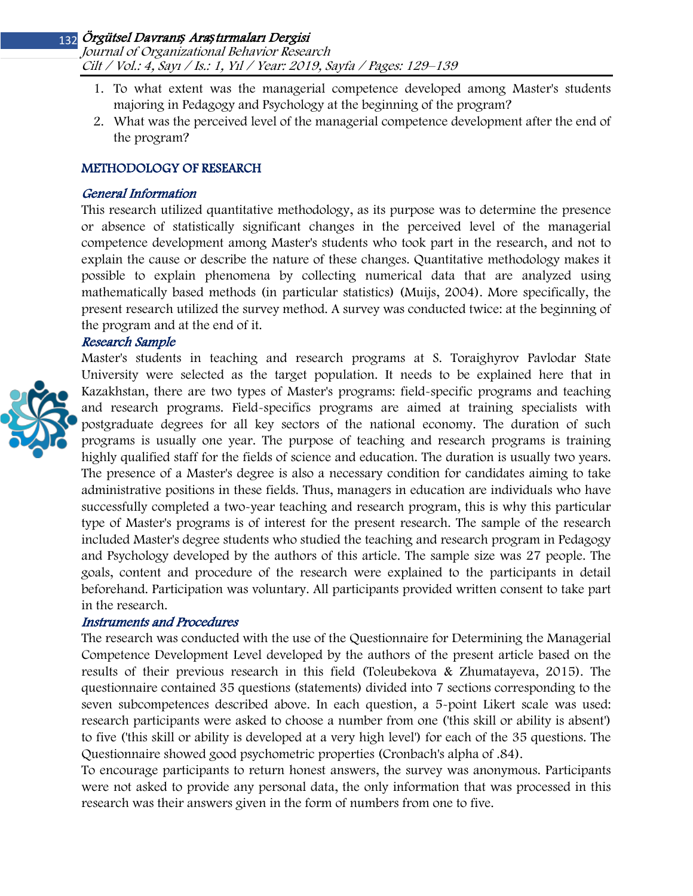Journal of Organizational Behavior Research Cilt / Vol.: 4, Sayı / Is.: 1, Yıl / Year: 2019, Sayfa / Pages: 129–139

- 1. To what extent was the managerial competence developed among Master's students majoring in Pedagogy and Psychology at the beginning of the program?
- 2. What was the perceived level of the managerial competence development after the end of the program?

## METHODOLOGY OF RESEARCH

## General Information

This research utilized quantitative methodology, as its purpose was to determine the presence or absence of statistically significant changes in the perceived level of the managerial competence development among Master's students who took part in the research, and not to explain the cause or describe the nature of these changes. Quantitative methodology makes it possible to explain phenomena by collecting numerical data that are analyzed using mathematically based methods (in particular statistics) (Muijs, 2004). More specifically, the present research utilized the survey method. A survey was conducted twice: at the beginning of the program and at the end of it.

## Research Sample



Master's students in teaching and research programs at S. Toraighyrov Pavlodar State University were selected as the target population. It needs to be explained here that in Kazakhstan, there are two types of Master's programs: field-specific programs and teaching and research programs. Field-specifics programs are aimed at training specialists with postgraduate degrees for all key sectors of the national economy. The duration of such programs is usually one year. The purpose of teaching and research programs is training highly qualified staff for the fields of science and education. The duration is usually two years. The presence of a Master's degree is also a necessary condition for candidates aiming to take administrative positions in these fields. Thus, managers in education are individuals who have successfully completed a two-year teaching and research program, this is why this particular type of Master's programs is of interest for the present research. The sample of the research included Master's degree students who studied the teaching and research program in Pedagogy and Psychology developed by the authors of this article. The sample size was 27 people. The goals, content and procedure of the research were explained to the participants in detail beforehand. Participation was voluntary. All participants provided written consent to take part in the research.

## Instruments and Procedures

The research was conducted with the use of the Questionnaire for Determining the Managerial Competence Development Level developed by the authors of the present article based on the results of their previous research in this field (Toleubekova & Zhumatayeva, 2015). The questionnaire contained 35 questions (statements) divided into 7 sections corresponding to the seven subcompetences described above. In each question, a 5-point Likert scale was used: research participants were asked to choose a number from one ('this skill or ability is absent') to five ('this skill or ability is developed at a very high level') for each of the 35 questions. The Questionnaire showed good psychometric properties (Cronbach's alpha of .84).

To encourage participants to return honest answers, the survey was anonymous. Participants were not asked to provide any personal data, the only information that was processed in this research was their answers given in the form of numbers from one to five.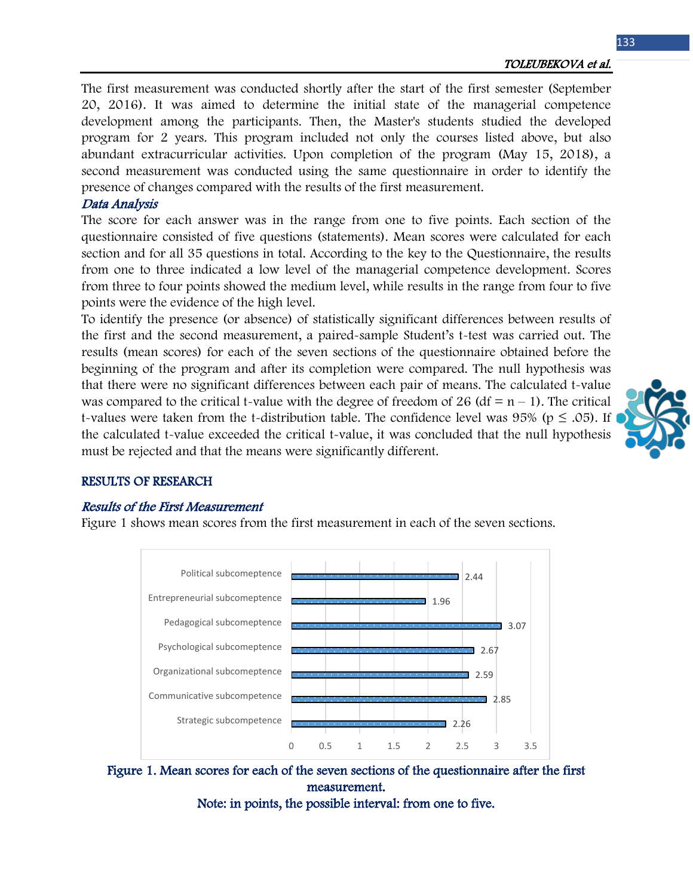The first measurement was conducted shortly after the start of the first semester (September 20, 2016). It was aimed to determine the initial state of the managerial competence development among the participants. Then, the Master's students studied the developed program for 2 years. This program included not only the courses listed above, but also abundant extracurricular activities. Upon completion of the program (May 15, 2018), a second measurement was conducted using the same questionnaire in order to identify the presence of changes compared with the results of the first measurement.

## Data Analysis

The score for each answer was in the range from one to five points. Each section of the questionnaire consisted of five questions (statements). Mean scores were calculated for each section and for all 35 questions in total. According to the key to the Questionnaire, the results from one to three indicated a low level of the managerial competence development. Scores from three to four points showed the medium level, while results in the range from four to five points were the evidence of the high level.

To identify the presence (or absence) of statistically significant differences between results of the first and the second measurement, a paired-sample Student's t-test was carried out. The results (mean scores) for each of the seven sections of the questionnaire obtained before the beginning of the program and after its completion were compared. The null hypothesis was that there were no significant differences between each pair of means. The calculated t-value was compared to the critical t-value with the degree of freedom of 26 (df =  $n - 1$ ). The critical t-values were taken from the t-distribution table. The confidence level was 95% ( $p \leq .05$ ). If the calculated t-value exceeded the critical t-value, it was concluded that the null hypothesis must be rejected and that the means were significantly different.



## RESULTS OF RESEARCH

### Results of the First Measurement

Figure 1 shows mean scores from the first measurement in each of the seven sections.



Figure 1. Mean scores for each of the seven sections of the questionnaire after the first measurement.

Note: in points, the possible interval: from one to five.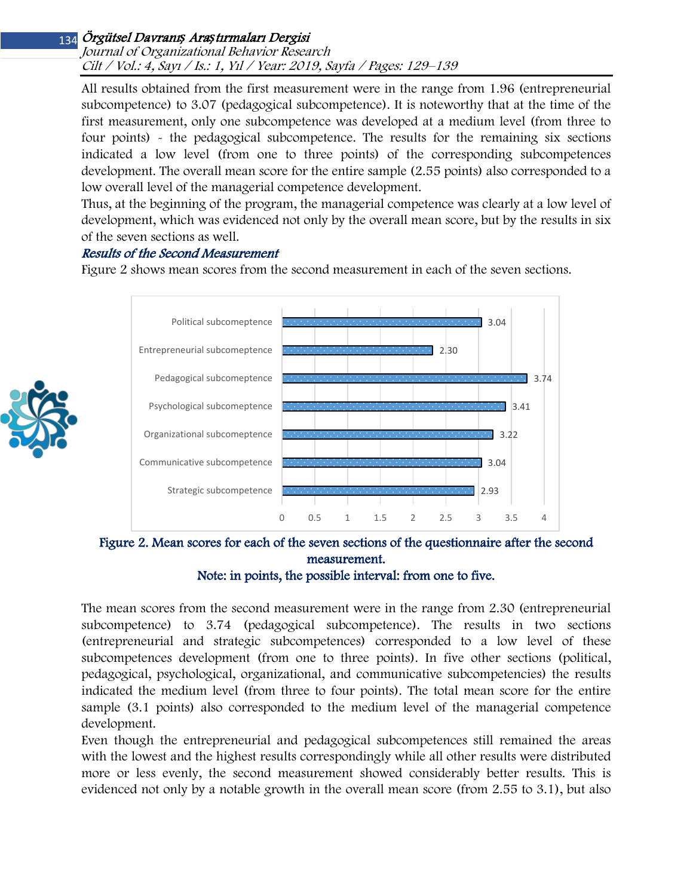### Journal of Organizational Behavior Research Cilt / Vol.: 4, Sayı / Is.: 1, Yıl / Year: 2019, Sayfa / Pages: 129–139

All results obtained from the first measurement were in the range from 1.96 (entrepreneurial subcompetence) to 3.07 (pedagogical subcompetence). It is noteworthy that at the time of the first measurement, only one subcompetence was developed at a medium level (from three to four points) - the pedagogical subcompetence. The results for the remaining six sections indicated a low level (from one to three points) of the corresponding subcompetences development. The overall mean score for the entire sample (2.55 points) also corresponded to a low overall level of the managerial competence development.

Thus, at the beginning of the program, the managerial competence was clearly at a low level of development, which was evidenced not only by the overall mean score, but by the results in six of the seven sections as well.

## Results of the Second Measurement

Figure 2 shows mean scores from the second measurement in each of the seven sections.



Figure 2. Mean scores for each of the seven sections of the questionnaire after the second measurement.

Note: in points, the possible interval: from one to five.

The mean scores from the second measurement were in the range from 2.30 (entrepreneurial subcompetence) to 3.74 (pedagogical subcompetence). The results in two sections (entrepreneurial and strategic subcompetences) corresponded to a low level of these subcompetences development (from one to three points). In five other sections (political, pedagogical, psychological, organizational, and communicative subcompetencies) the results indicated the medium level (from three to four points). The total mean score for the entire sample (3.1 points) also corresponded to the medium level of the managerial competence development.

Even though the entrepreneurial and pedagogical subcompetences still remained the areas with the lowest and the highest results correspondingly while all other results were distributed more or less evenly, the second measurement showed considerably better results. This is evidenced not only by a notable growth in the overall mean score (from 2.55 to 3.1), but also

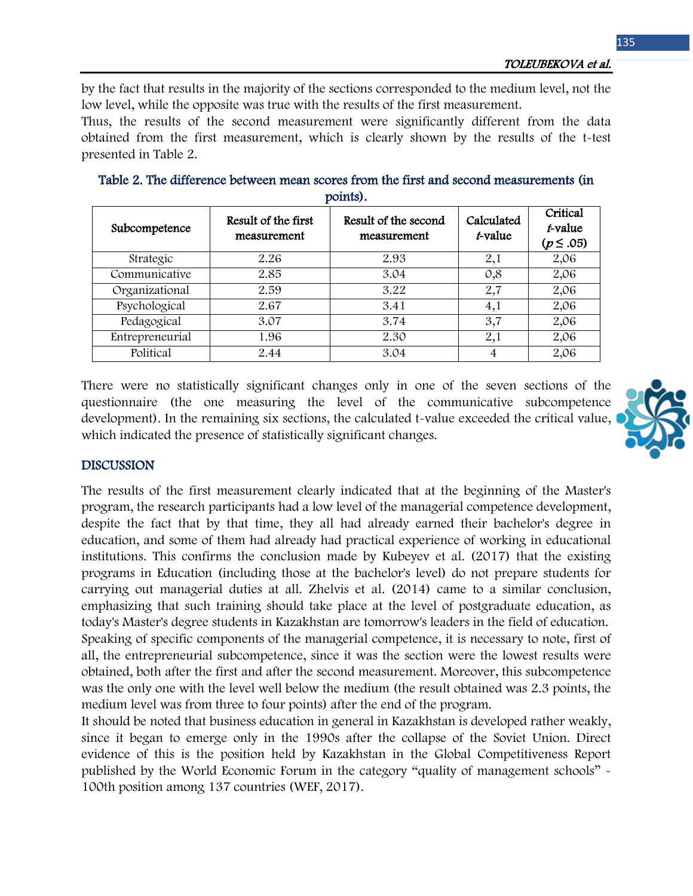TOLEUBEKOVA et al.

by the fact that results in the majority of the sections corresponded to the medium level, not the low level, while the opposite was true with the results of the first measurement.

Thus, the results of the second measurement were significantly different from the data obtained from the first measurement, which is clearly shown by the results of the t-test presented in Table 2.

| Subcompetence   | Result of the first<br>measurement | Result of the second<br>measurement | Calculated<br>t-value | Critical<br>t-value<br>$(p \le .05)$ |
|-----------------|------------------------------------|-------------------------------------|-----------------------|--------------------------------------|
| Strategic       | 2.26                               | 2.93                                | 2,1                   | 2,06                                 |
| Communicative   | 2.85                               | 3.04                                | 0,8                   | 2,06                                 |
| Organizational  | 2.59                               | 3.22                                | 2,7                   | 2,06                                 |
| Psychological   | 2.67                               | 3.41                                | 4,1                   | 2,06                                 |
| Pedagogical     | 3.07                               | 3.74                                | 3,7                   | 2,06                                 |
| Entrepreneurial | 1.96                               | 2.30                                | 2,1                   | 2,06                                 |
| Political       | 2.44                               | 3.04                                |                       | 2,06                                 |

Table 2. The difference between mean scores from the first and second measurements (in points).

There were no statistically significant changes only in one of the seven sections of the questionnaire (the one measuring the level of the communicative subcompetence development). In the remaining six sections, the calculated t-value exceeded the critical value, which indicated the presence of statistically significant changes.



### DISCUSSION

The results of the first measurement clearly indicated that at the beginning of the Master's program, the research participants had a low level of the managerial competence development, despite the fact that by that time, they all had already earned their bachelor's degree in education, and some of them had already had practical experience of working in educational institutions. This confirms the conclusion made by Kubeyev et al. (2017) that the existing programs in Education (including those at the bachelor's level) do not prepare students for carrying out managerial duties at all. Zhelvis et al. (2014) came to a similar conclusion, emphasizing that such training should take place at the level of postgraduate education, as today's Master's degree students in Kazakhstan are tomorrow's leaders in the field of education. Speaking of specific components of the managerial competence, it is necessary to note, first of all, the entrepreneurial subcompetence, since it was the section were the lowest results were obtained, both after the first and after the second measurement. Moreover, this subcompetence was the only one with the level well below the medium (the result obtained was 2.3 points, the medium level was from three to four points) after the end of the program.

It should be noted that business education in general in Kazakhstan is developed rather weakly, since it began to emerge only in the 1990s after the collapse of the Soviet Union. Direct evidence of this is the position held by Kazakhstan in the Global Competitiveness Report published by the World Economic Forum in the category "quality of management schools" - 100th position among 137 countries (WEF, 2017).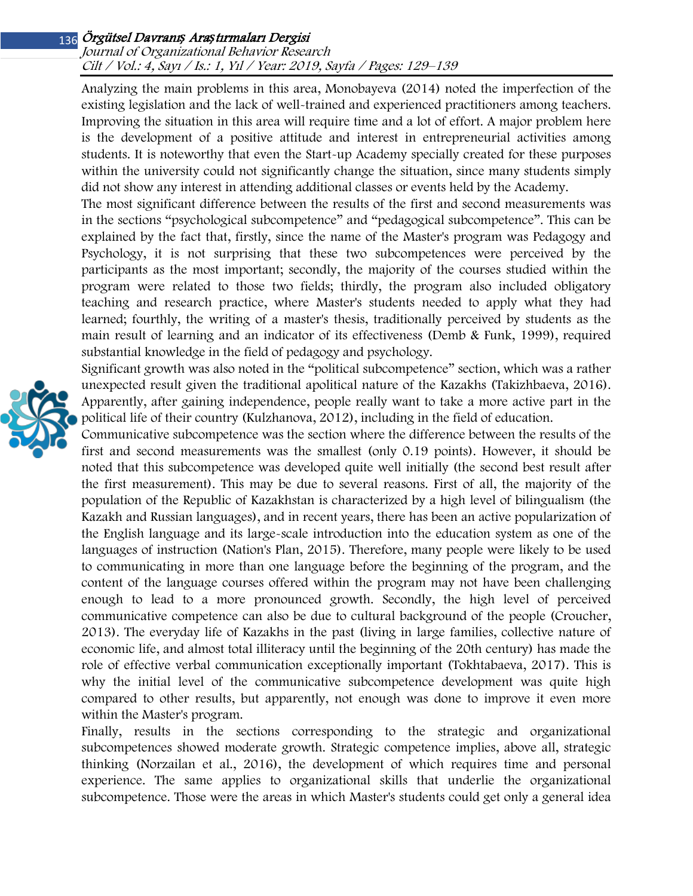### Journal of Organizational Behavior Research Cilt / Vol.: 4, Sayı / Is.: 1, Yıl / Year: 2019, Sayfa / Pages: 129–139

Analyzing the main problems in this area, Monobayeva (2014) noted the imperfection of the existing legislation and the lack of well-trained and experienced practitioners among teachers. Improving the situation in this area will require time and a lot of effort. A major problem here is the development of a positive attitude and interest in entrepreneurial activities among students. It is noteworthy that even the Start-up Academy specially created for these purposes within the university could not significantly change the situation, since many students simply did not show any interest in attending additional classes or events held by the Academy.

The most significant difference between the results of the first and second measurements was in the sections "psychological subcompetence" and "pedagogical subcompetence". This can be explained by the fact that, firstly, since the name of the Master's program was Pedagogy and Psychology, it is not surprising that these two subcompetences were perceived by the participants as the most important; secondly, the majority of the courses studied within the program were related to those two fields; thirdly, the program also included obligatory teaching and research practice, where Master's students needed to apply what they had learned; fourthly, the writing of a master's thesis, traditionally perceived by students as the main result of learning and an indicator of its effectiveness (Demb & Funk, 1999), required substantial knowledge in the field of pedagogy and psychology.

Significant growth was also noted in the "political subcompetence" section, which was a rather unexpected result given the traditional apolitical nature of the Kazakhs (Takizhbaeva, 2016). Apparently, after gaining independence, people really want to take a more active part in the political life of their country (Kulzhanova, 2012), including in the field of education.

Communicative subcompetence was the section where the difference between the results of the first and second measurements was the smallest (only 0.19 points). However, it should be noted that this subcompetence was developed quite well initially (the second best result after the first measurement). This may be due to several reasons. First of all, the majority of the population of the Republic of Kazakhstan is characterized by a high level of bilingualism (the Kazakh and Russian languages), and in recent years, there has been an active popularization of the English language and its large-scale introduction into the education system as one of the languages of instruction (Nation's Plan, 2015). Therefore, many people were likely to be used to communicating in more than one language before the beginning of the program, and the content of the language courses offered within the program may not have been challenging enough to lead to a more pronounced growth. Secondly, the high level of perceived communicative competence can also be due to cultural background of the people (Croucher, 2013). The everyday life of Kazakhs in the past (living in large families, collective nature of economic life, and almost total illiteracy until the beginning of the 20th century) has made the role of effective verbal communication exceptionally important (Tokhtabaeva, 2017). This is why the initial level of the communicative subcompetence development was quite high compared to other results, but apparently, not enough was done to improve it even more within the Master's program.

Finally, results in the sections corresponding to the strategic and organizational subcompetences showed moderate growth. Strategic competence implies, above all, strategic thinking (Norzailan et al., 2016), the development of which requires time and personal experience. The same applies to organizational skills that underlie the organizational subcompetence. Those were the areas in which Master's students could get only a general idea

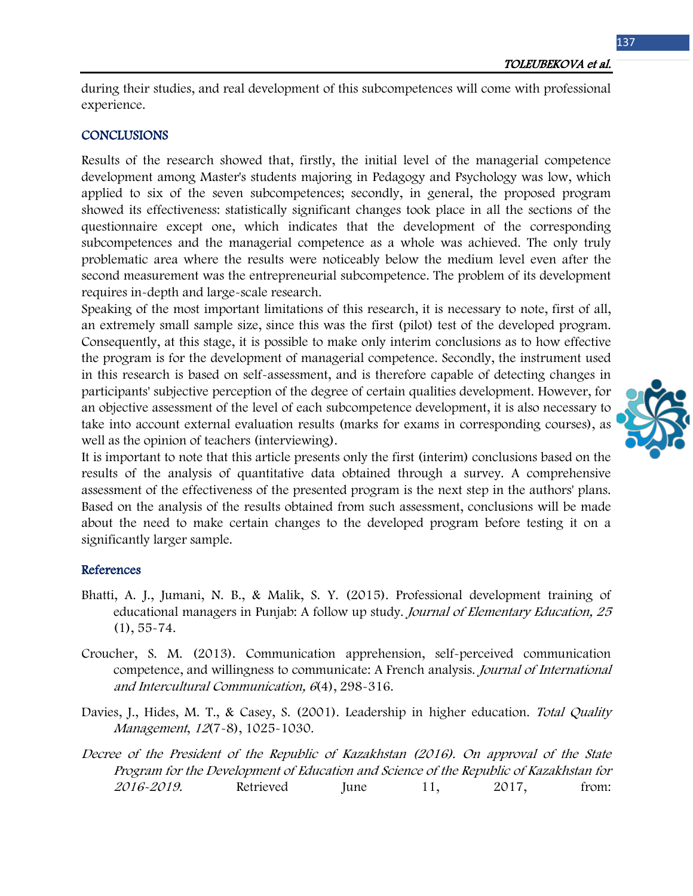during their studies, and real development of this subcompetences will come with professional experience.

## **CONCLUSIONS**

Results of the research showed that, firstly, the initial level of the managerial competence development among Master's students majoring in Pedagogy and Psychology was low, which applied to six of the seven subcompetences; secondly, in general, the proposed program showed its effectiveness: statistically significant changes took place in all the sections of the questionnaire except one, which indicates that the development of the corresponding subcompetences and the managerial competence as a whole was achieved. The only truly problematic area where the results were noticeably below the medium level even after the second measurement was the entrepreneurial subcompetence. The problem of its development requires in-depth and large-scale research.

Speaking of the most important limitations of this research, it is necessary to note, first of all, an extremely small sample size, since this was the first (pilot) test of the developed program. Consequently, at this stage, it is possible to make only interim conclusions as to how effective the program is for the development of managerial competence. Secondly, the instrument used in this research is based on self-assessment, and is therefore capable of detecting changes in participants' subjective perception of the degree of certain qualities development. However, for an objective assessment of the level of each subcompetence development, it is also necessary to take into account external evaluation results (marks for exams in corresponding courses), as well as the opinion of teachers (interviewing).

It is important to note that this article presents only the first (interim) conclusions based on the results of the analysis of quantitative data obtained through a survey. A comprehensive assessment of the effectiveness of the presented program is the next step in the authors' plans. Based on the analysis of the results obtained from such assessment, conclusions will be made about the need to make certain changes to the developed program before testing it on a significantly larger sample.

### References

- Bhatti, A. J., Jumani, N. B., & Malik, S. Y. (2015). Professional development training of educational managers in Punjab: A follow up study. Journal of Elementary Education, 25 (1), 55-74.
- Croucher, S. M. (2013). Communication apprehension, self-perceived communication competence, and willingness to communicate: A French analysis. Journal of International and Intercultural Communication, 6(4), 298-316.
- Davies, J., Hides, M. T., & Casey, S. (2001). Leadership in higher education. Total Quality Management, 12(7-8), 1025-1030.
- Decree of the President of the Republic of Kazakhstan (2016). On approval of the State Program for the Development of Education and Science of the Republic of Kazakhstan for 2016-2019. Retrieved June 11, 2017, from:

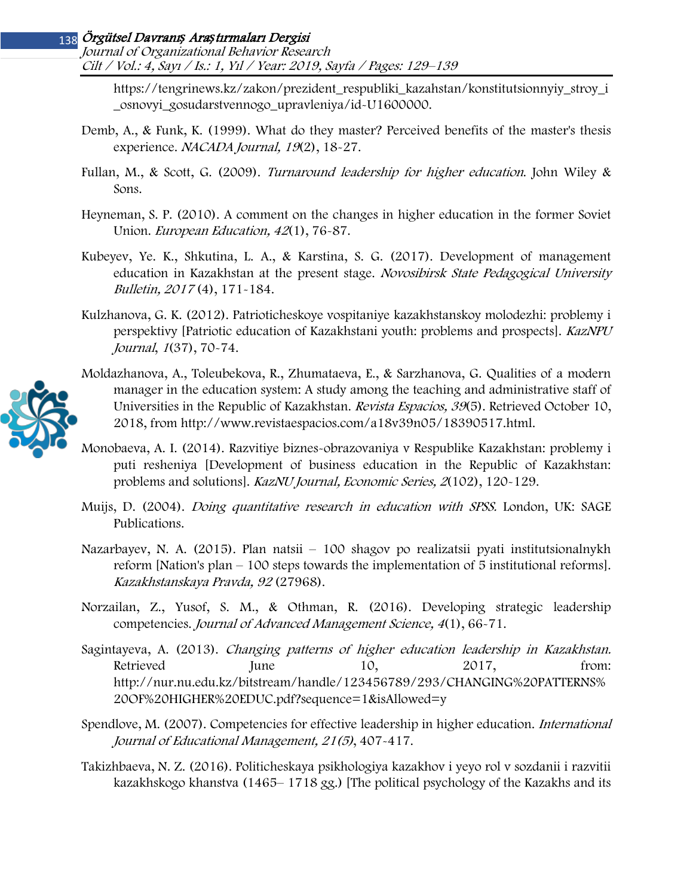Journal of Organizational Behavior Research Cilt / Vol.: 4, Sayı / Is.: 1, Yıl / Year: 2019, Sayfa / Pages: 129–139

[https://tengrinews.kz/zakon/prezident\\_respubliki\\_kazahstan/konstitutsionnyiy\\_stroy\\_i](https://tengrinews.kz/zakon/prezident_respubliki_kazahstan/konstitutsionnyiy_stroy_i_osnovyi_gosudarstvennogo_upravleniya/id-U1600000) [\\_osnovyi\\_gosudarstvennogo\\_upravleniya/id](https://tengrinews.kz/zakon/prezident_respubliki_kazahstan/konstitutsionnyiy_stroy_i_osnovyi_gosudarstvennogo_upravleniya/id-U1600000)-U1600000.

- Demb, A., & Funk, K. (1999). What do they master? Perceived benefits of the master's thesis experience. NACADA Journal, 19(2), 18-27.
- Fullan, M., & Scott, G. (2009). Turnaround leadership for higher education. John Wiley & Sons.
- Heyneman, S. P. (2010). A comment on the changes in higher education in the former Soviet Union. European Education, 42(1), 76-87.
- Kubeyev, Ye. K., Shkutina, L. A., & Karstina, S. G. (2017). Development of management education in Kazakhstan at the present stage. Novosibirsk State Pedagogical University Bulletin, 2017 (4), 171-184.
- Kulzhanova, G. K. (2012). Patrioticheskoye vospitaniye kazakhstanskoy molodezhi: problemy i perspektivy [Patriotic education of Kazakhstani youth: problems and prospects]. KazNPU Journal, 1(37), 70-74.



Moldazhanova, A., Toleubekova, R., Zhumataeva, E., & Sarzhanova, G. Qualities of a modern manager in the education system: A study among the teaching and administrative staff of Universities in the Republic of Kazakhstan. Revista Espacios, 39(5). Retrieved October 10, 2018, from http://www.revistaespacios.com/a18v39n05/18390517.html.

- Monobaeva, A. I. (2014). Razvitiye biznes-obrazovaniya v Respublike Kazakhstan: problemy i puti resheniya [Development of business education in the Republic of Kazakhstan: problems and solutions]. KazNU Journal, Economic Series, 2(102), 120-129.
- Muijs, D. (2004). *Doing quantitative research in education with SPSS*. London, UK: SAGE Publications.
- Nazarbayev, N. A. (2015). Plan natsii 100 shagov po realizatsii pyati institutsionalnykh reform [Nation's plan – 100 steps towards the implementation of 5 institutional reforms]. Kazakhstanskaya Pravda, 92 (27968).
- Norzailan, Z., Yusof, S. M., & Othman, R. (2016). Developing strategic leadership competencies. Journal of Advanced Management Science, 4(1), 66-71.
- Sagintayeva, A. (2013). Changing patterns of higher education leadership in Kazakhstan. Retrieved June 10, 2017, from: http://nur.nu.edu.kz/bitstream/handle/123456789/293/CHANGING%20PATTERNS% 20OF%20HIGHER%20EDUC.pdf?sequence=1&isAllowed=y
- Spendlove, M. (2007). Competencies for effective leadership in higher education. *International* Journal of Educational Management, 21(5), 407-417.
- Takizhbaeva, N. Z. (2016). Politicheskaya psikhologiya kazakhov i yeyo rol v sozdanii i razvitii kazakhskogo khanstva (1465– 1718 gg.) [The political psychology of the Kazakhs and its